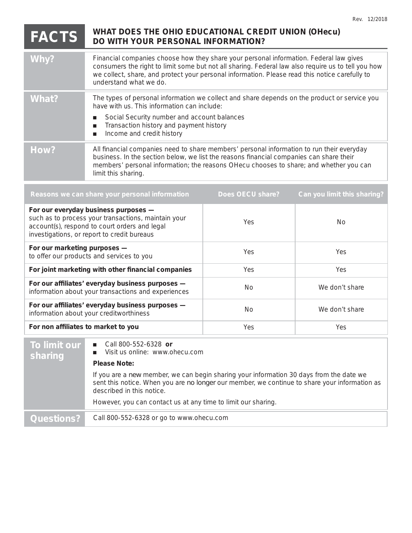## **FACTS** WHAT DOES THE OHIO EDUCATIONAL CREDIT UNION (OHecu) DO WITH YOUR PERSONAL INFORMATION?

| Why?  | Financial companies choose how they share your personal information. Federal law gives<br>consumers the right to limit some but not all sharing. Federal law also require us to tell you how<br>we collect, share, and protect your personal information. Please read this notice carefully to<br>understand what we do. |
|-------|--------------------------------------------------------------------------------------------------------------------------------------------------------------------------------------------------------------------------------------------------------------------------------------------------------------------------|
| What? | The types of personal information we collect and share depends on the product or service you<br>have with us. This information can include:<br>Social Security number and account balances<br>Transaction history and payment history<br>Income and credit history                                                       |
| How?  | All financial companies need to share members' personal information to run their everyday<br>business. In the section below, we list the reasons financial companies can share their<br>members' personal information; the reasons OHecu chooses to share; and whether you can<br>limit this sharing.                    |

| Does OECU share? | Can you limit this sharing? |
|------------------|-----------------------------|
| Yes              | No.                         |
| <b>Yes</b>       | Yes.                        |
| <b>Yes</b>       | Yes.                        |
| No.              | We don't share              |
| No.              | We don't share              |
| Yes              | Yes.                        |
|                  |                             |

| To limit our<br>sharing | Call 800-552-6328 or<br>Visit us online: www.ohecu.com                                                                                                                                                                |
|-------------------------|-----------------------------------------------------------------------------------------------------------------------------------------------------------------------------------------------------------------------|
|                         | <b>Please Note:</b>                                                                                                                                                                                                   |
|                         | If you are a new member, we can begin sharing your information 30 days from the date we<br>sent this notice. When you are no longer our member, we continue to share your information as<br>described in this notice. |
|                         | However, you can contact us at any time to limit our sharing.                                                                                                                                                         |
| Questions?              | Call 800-552-6328 or go to www.ohecu.com                                                                                                                                                                              |